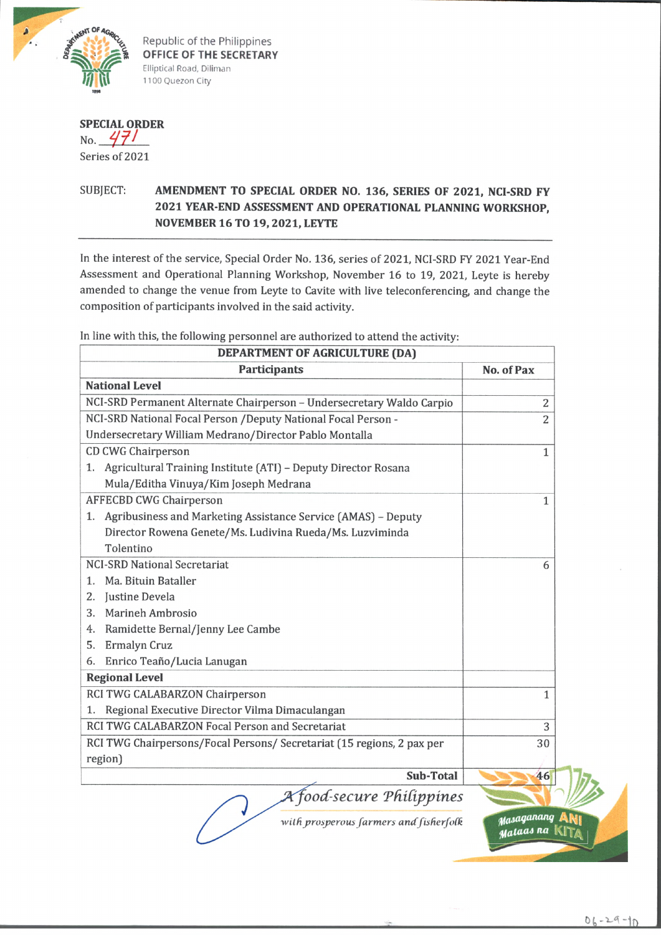

Republic of the Philippines **OFFICE OF THE SECRETARY** Elliptical Road, Diliman 1100 Quezon City

## **SPECIAL ORDER** No.  $471$

Series of 2021

## SUBJECT: **AMENDMENT TO SPECIAL ORDER NO.** 136, **SERIES OF** 2021, **NCI-SRD FY** 2021 **YEAR-END ASSESSMENT AND OPERATIONAL PLANNING WORKSHOP, NOVEMBER** 16 **TO** 19,2021, **LEYTE**

In the interest of the service, Special Order No. 136, series of 2021, NCI-SRD FY 2021 Year-End Assessment and Operational Planning Workshop, November 16 to 19, 2021, Leyte is hereby amended to change the venue from Leyte to Cavite with live teleconferencing, and change the composition of participants involved in the said activity.

| DEPARTMENT OF AGRICULTURE (DA)                                         |                |
|------------------------------------------------------------------------|----------------|
| <b>Participants</b>                                                    | No. of Pax     |
| <b>National Level</b>                                                  |                |
| NCI-SRD Permanent Alternate Chairperson - Undersecretary Waldo Carpio  | 2              |
| NCI-SRD National Focal Person /Deputy National Focal Person -          | $\overline{2}$ |
| Undersecretary William Medrano/Director Pablo Montalla                 |                |
| <b>CD CWG Chairperson</b>                                              | 1              |
| 1. Agricultural Training Institute (ATI) - Deputy Director Rosana      |                |
| Mula/Editha Vinuya/Kim Joseph Medrana                                  |                |
| <b>AFFECBD CWG Chairperson</b>                                         | 1              |
| Agribusiness and Marketing Assistance Service (AMAS) - Deputy<br>1.    |                |
| Director Rowena Genete/Ms. Ludivina Rueda/Ms. Luzviminda               |                |
| Tolentino                                                              |                |
| <b>NCI-SRD National Secretariat</b>                                    | 6              |
| Ma. Bituin Bataller<br>$\mathbf{1}$ .                                  |                |
| Justine Devela<br>2.                                                   |                |
| Marineh Ambrosio<br>3.                                                 |                |
| Ramidette Bernal/Jenny Lee Cambe<br>4.                                 |                |
| Ermalyn Cruz<br>5.                                                     |                |
| Enrico Teaño/Lucia Lanugan<br>6.                                       |                |
| <b>Regional Level</b>                                                  |                |
| RCI TWG CALABARZON Chairperson                                         | 1              |
| Regional Executive Director Vilma Dimaculangan<br>1.                   |                |
| RCI TWG CALABARZON Focal Person and Secretariat                        | 3              |
| RCI TWG Chairpersons/Focal Persons/ Secretariat (15 regions, 2 pax per | 30             |
| region)                                                                |                |
| Sub-Total                                                              | 46             |
| A food-secure Philippines                                              |                |

In line with this, the following personnel are authorized to attend the activity:

with prosperous farmers and fisherfolk *Masaganang* 

**Mataas na**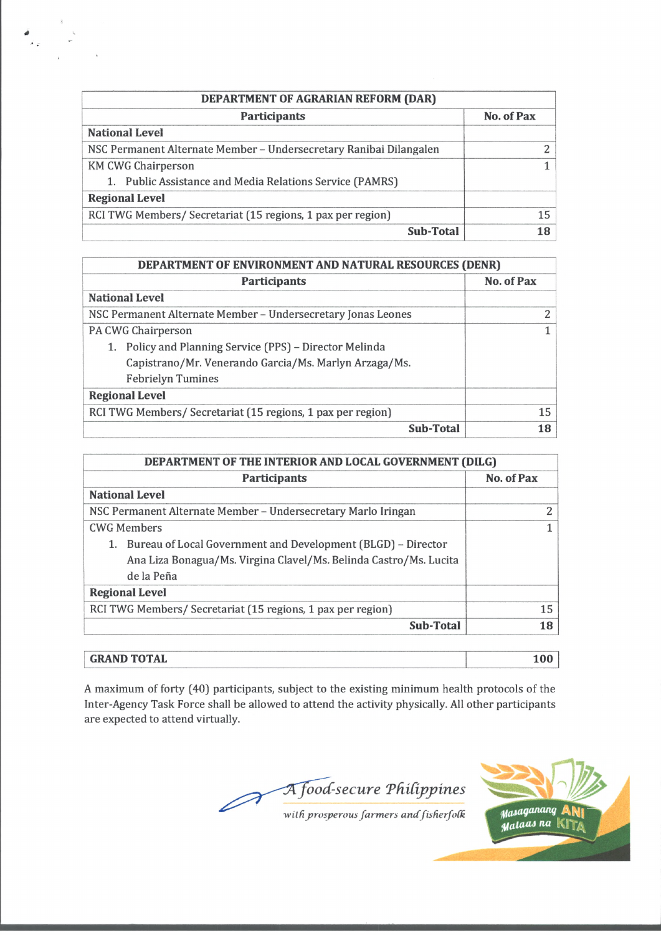| DEPARTMENT OF AGRARIAN REFORM (DAR)                                |            |
|--------------------------------------------------------------------|------------|
| <b>Participants</b>                                                | No. of Pax |
| <b>National Level</b>                                              |            |
| NSC Permanent Alternate Member - Undersecretary Ranibai Dilangalen |            |
| <b>KM CWG Chairperson</b>                                          |            |
| 1. Public Assistance and Media Relations Service (PAMRS)           |            |
| <b>Regional Level</b>                                              |            |
| RCI TWG Members/ Secretariat (15 regions, 1 pax per region)        | 15         |
| <b>Sub-Total</b>                                                   |            |

 $\frac{d}{d\varphi} = \frac{1}{\varphi}$ 

| <b>DEPARTMENT OF ENVIRONMENT AND NATURAL RESOURCES (DENR)</b> |            |
|---------------------------------------------------------------|------------|
| <b>Participants</b>                                           | No. of Pax |
| <b>National Level</b>                                         |            |
| NSC Permanent Alternate Member - Undersecretary Jonas Leones  | っ          |
| PA CWG Chairperson                                            |            |
| Policy and Planning Service (PPS) - Director Melinda          |            |
| Capistrano/Mr. Venerando Garcia/Ms. Marlyn Arzaga/Ms.         |            |
| <b>Febrielyn Tumines</b>                                      |            |
| <b>Regional Level</b>                                         |            |
| RCI TWG Members/ Secretariat (15 regions, 1 pax per region)   | 15         |
| <b>Sub-Total</b>                                              | 18         |

| DEPARTMENT OF THE INTERIOR AND LOCAL GOVERNMENT (DILG)            |            |
|-------------------------------------------------------------------|------------|
| <b>Participants</b>                                               | No. of Pax |
| <b>National Level</b>                                             |            |
| NSC Permanent Alternate Member - Undersecretary Marlo Iringan     | 2          |
| <b>CWG Members</b>                                                | 1          |
| 1. Bureau of Local Government and Development (BLGD) – Director   |            |
| Ana Liza Bonagua/Ms. Virgina Clavel/Ms. Belinda Castro/Ms. Lucita |            |
| de la Peña                                                        |            |
| <b>Regional Level</b>                                             |            |
| RCI TWG Members/ Secretariat (15 regions, 1 pax per region)       | 15         |
| <b>Sub-Total</b>                                                  | 18         |
|                                                                   |            |
| <b>GRAND TOTAL</b>                                                | 100        |

A maximum of forty (40) participants, subject to the existing minimum health protocols of the Inter-Agency Task Force shall be allowed to attend the activity physically. All other participants are expected to attend virtually.